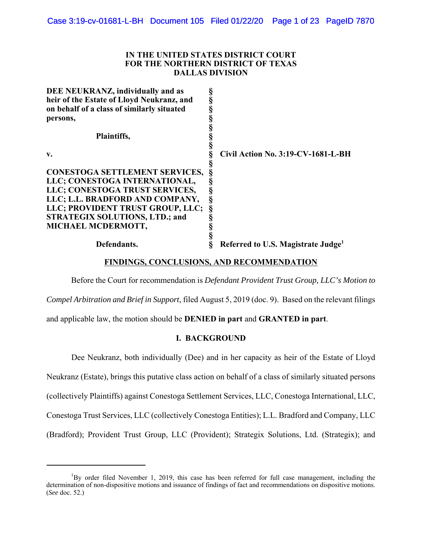# **IN THE UNITED STATES DISTRICT COURT FOR THE NORTHERN DISTRICT OF TEXAS DALLAS DIVISION**

| §                                              |
|------------------------------------------------|
| §                                              |
|                                                |
| §                                              |
|                                                |
| §<br>§                                         |
|                                                |
| Civil Action No. 3:19-CV-1681-L-BH             |
|                                                |
|                                                |
| ş                                              |
| ş                                              |
| Ş                                              |
| Ş                                              |
|                                                |
|                                                |
|                                                |
| Referred to U.S. Magistrate Judge <sup>1</sup> |
| <b>CONESTOGA SETTLEMENT SERVICES,</b>          |

# **FINDINGS, CONCLUSIONS, AND RECOMMENDATION**

Before the Court for recommendation is *Defendant Provident Trust Group, LLC's Motion to*

*Compel Arbitration and Brief in Support*, filed August 5, 2019 (doc. 9). Based on the relevant filings

and applicable law, the motion should be **DENIED in part** and **GRANTED in part**.

# **I. BACKGROUND**

Dee Neukranz, both individually (Dee) and in her capacity as heir of the Estate of Lloyd Neukranz (Estate), brings this putative class action on behalf of a class of similarly situated persons (collectively Plaintiffs) against Conestoga Settlement Services, LLC, Conestoga International, LLC, Conestoga Trust Services, LLC (collectively Conestoga Entities); L.L. Bradford and Company, LLC (Bradford); Provident Trust Group, LLC (Provident); Strategix Solutions, Ltd. (Strategix); and

<sup>&</sup>lt;sup>1</sup>By order filed November 1, 2019, this case has been referred for full case management, including the determination of non-dispositive motions and issuance of findings of fact and recommendations on dispositive motions. (*See* doc. 52.)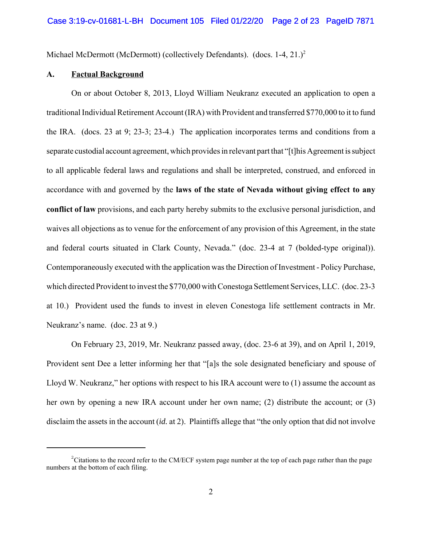Michael McDermott (McDermott) (collectively Defendants). (docs.  $1-4$ ,  $21.$ )<sup>2</sup>

### **A. Factual Background**

On or about October 8, 2013, Lloyd William Neukranz executed an application to open a traditional Individual Retirement Account (IRA) with Provident and transferred \$770,000 to it to fund the IRA. (docs. 23 at 9; 23-3; 23-4.) The application incorporates terms and conditions from a separate custodial account agreement, which provides in relevant part that "[t]his Agreement is subject to all applicable federal laws and regulations and shall be interpreted, construed, and enforced in accordance with and governed by the **laws of the state of Nevada without giving effect to any conflict of law** provisions, and each party hereby submits to the exclusive personal jurisdiction, and waives all objections as to venue for the enforcement of any provision of this Agreement, in the state and federal courts situated in Clark County, Nevada." (doc. 23-4 at 7 (bolded-type original)). Contemporaneously executed with the application was the Direction of Investment - Policy Purchase, which directed Provident to invest the \$770,000 with Conestoga Settlement Services, LLC. (doc. 23-3 at 10.) Provident used the funds to invest in eleven Conestoga life settlement contracts in Mr. Neukranz's name. (doc. 23 at 9.)

On February 23, 2019, Mr. Neukranz passed away, (doc. 23-6 at 39), and on April 1, 2019, Provident sent Dee a letter informing her that "[a]s the sole designated beneficiary and spouse of Lloyd W. Neukranz," her options with respect to his IRA account were to (1) assume the account as her own by opening a new IRA account under her own name; (2) distribute the account; or (3) disclaim the assets in the account (*id.* at 2). Plaintiffs allege that "the only option that did not involve

 $2$ Citations to the record refer to the CM/ECF system page number at the top of each page rather than the page numbers at the bottom of each filing.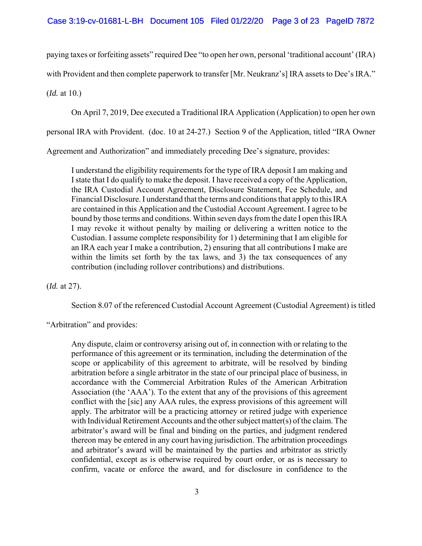paying taxes or forfeiting assets" required Dee "to open her own, personal 'traditional account' (IRA)

with Provident and then complete paperwork to transfer [Mr. Neukranz's] IRA assets to Dee's IRA."

(*Id.* at 10.)

On April 7, 2019, Dee executed a Traditional IRA Application (Application) to open her own

personal IRA with Provident. (doc. 10 at 24-27.) Section 9 of the Application, titled "IRA Owner

Agreement and Authorization" and immediately preceding Dee's signature, provides:

I understand the eligibility requirements for the type of IRA deposit I am making and I state that I do qualify to make the deposit. I have received a copy of the Application, the IRA Custodial Account Agreement, Disclosure Statement, Fee Schedule, and Financial Disclosure. I understand that the terms and conditions that apply to this IRA are contained in this Application and the Custodial Account Agreement. I agree to be bound by those terms and conditions. Within seven days from the date I open this IRA I may revoke it without penalty by mailing or delivering a written notice to the Custodian. I assume complete responsibility for 1) determining that I am eligible for an IRA each year I make a contribution, 2) ensuring that all contributions I make are within the limits set forth by the tax laws, and 3) the tax consequences of any contribution (including rollover contributions) and distributions.

(*Id.* at 27).

Section 8.07 of the referenced Custodial Account Agreement (Custodial Agreement) is titled

"Arbitration" and provides:

Any dispute, claim or controversy arising out of, in connection with or relating to the performance of this agreement or its termination, including the determination of the scope or applicability of this agreement to arbitrate, will be resolved by binding arbitration before a single arbitrator in the state of our principal place of business, in accordance with the Commercial Arbitration Rules of the American Arbitration Association (the 'AAA'). To the extent that any of the provisions of this agreement conflict with the [sic] any AAA rules, the express provisions of this agreement will apply. The arbitrator will be a practicing attorney or retired judge with experience with Individual Retirement Accounts and the other subject matter(s) of the claim. The arbitrator's award will be final and binding on the parties, and judgment rendered thereon may be entered in any court having jurisdiction. The arbitration proceedings and arbitrator's award will be maintained by the parties and arbitrator as strictly confidential, except as is otherwise required by court order, or as is necessary to confirm, vacate or enforce the award, and for disclosure in confidence to the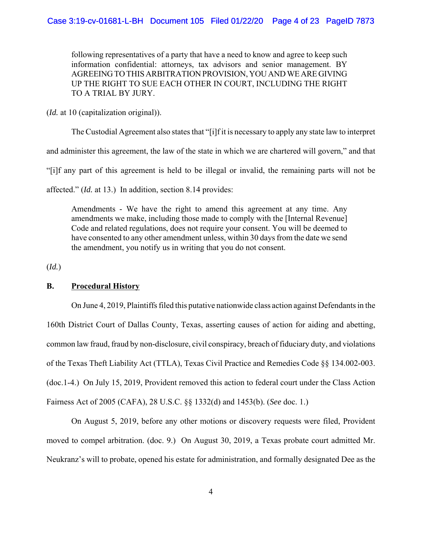following representatives of a party that have a need to know and agree to keep such information confidential: attorneys, tax advisors and senior management. BY AGREEING TO THIS ARBITRATION PROVISION, YOU AND WE ARE GIVING UP THE RIGHT TO SUE EACH OTHER IN COURT, INCLUDING THE RIGHT TO A TRIAL BY JURY.

(*Id.* at 10 (capitalization original)).

The Custodial Agreement also states that "[i]f it is necessary to apply any state law to interpret

and administer this agreement, the law of the state in which we are chartered will govern," and that

"[i]f any part of this agreement is held to be illegal or invalid, the remaining parts will not be

affected." (*Id.* at 13.) In addition, section 8.14 provides:

Amendments - We have the right to amend this agreement at any time. Any amendments we make, including those made to comply with the [Internal Revenue] Code and related regulations, does not require your consent. You will be deemed to have consented to any other amendment unless, within 30 days from the date we send the amendment, you notify us in writing that you do not consent.

(*Id.*)

### **B. Procedural History**

On June 4, 2019, Plaintiffs filed this putative nationwide class action against Defendants in the 160th District Court of Dallas County, Texas, asserting causes of action for aiding and abetting, common law fraud, fraud by non-disclosure, civil conspiracy, breach of fiduciary duty, and violations of the Texas Theft Liability Act (TTLA), Texas Civil Practice and Remedies Code §§ 134.002-003. (doc.1-4.) On July 15, 2019, Provident removed this action to federal court under the Class Action Fairness Act of 2005 (CAFA), 28 U.S.C. §§ 1332(d) and 1453(b). (*See* doc. 1.)

On August 5, 2019, before any other motions or discovery requests were filed, Provident moved to compel arbitration. (doc. 9.) On August 30, 2019, a Texas probate court admitted Mr. Neukranz's will to probate, opened his estate for administration, and formally designated Dee as the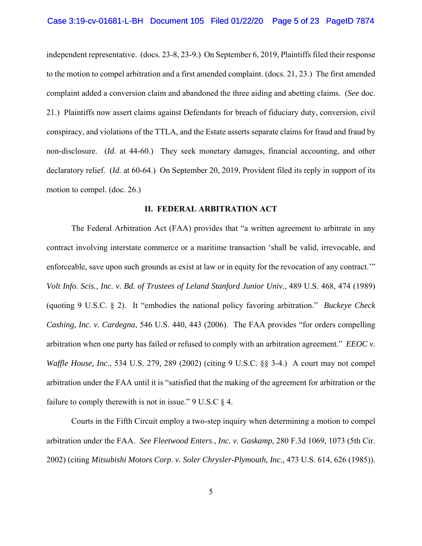independent representative. (docs. 23-8, 23-9.) On September 6, 2019, Plaintiffs filed their response to the motion to compel arbitration and a first amended complaint. (docs. 21, 23.) The first amended complaint added a conversion claim and abandoned the three aiding and abetting claims. (*See* doc. 21.) Plaintiffs now assert claims against Defendants for breach of fiduciary duty, conversion, civil conspiracy, and violations of the TTLA, and the Estate asserts separate claims for fraud and fraud by non-disclosure. (*Id.* at 44-60.) They seek monetary damages, financial accounting, and other declaratory relief. (*Id.* at 60-64.) On September 20, 2019, Provident filed its reply in support of its motion to compel. (doc. 26.)

### **II. FEDERAL ARBITRATION ACT**

The Federal Arbitration Act (FAA) provides that "a written agreement to arbitrate in any contract involving interstate commerce or a maritime transaction 'shall be valid, irrevocable, and enforceable, save upon such grounds as exist at law or in equity for the revocation of any contract.'" *Volt Info. Scis., Inc. v. Bd. of Trustees of Leland Stanford Junior Univ.*, 489 U.S. 468, 474 (1989) (quoting 9 U.S.C. § 2). It "embodies the national policy favoring arbitration." *Buckeye Check Cashing, Inc. v. Cardegna*, 546 U.S. 440, 443 (2006). The FAA provides "for orders compelling arbitration when one party has failed or refused to comply with an arbitration agreement." *EEOC v. Waffle House, Inc*., 534 U.S. 279, 289 (2002) (citing 9 U.S.C. §§ 3-4.) A court may not compel arbitration under the FAA until it is "satisfied that the making of the agreement for arbitration or the failure to comply therewith is not in issue."  $9 \text{ U.S.C } \S 4$ .

Courts in the Fifth Circuit employ a two-step inquiry when determining a motion to compel arbitration under the FAA. *See Fleetwood Enters*., *Inc. v. Gaskamp*, 280 F.3d 1069, 1073 (5th Cir. 2002) (citing *Mitsubishi Motors Corp*. *v. Soler Chrysler-Plymouth, Inc.*, 473 U.S. 614, 626 (1985)).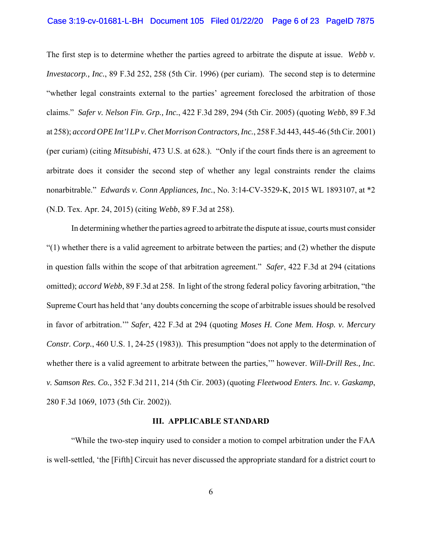### Case 3:19-cv-01681-L-BH Document 105 Filed 01/22/20 Page 6 of 23 PageID 7875

The first step is to determine whether the parties agreed to arbitrate the dispute at issue. *Webb v. Investacorp., Inc.*, 89 F.3d 252, 258 (5th Cir. 1996) (per curiam). The second step is to determine "whether legal constraints external to the parties' agreement foreclosed the arbitration of those claims." *Safer v. Nelson Fin. Grp., Inc.*, 422 F.3d 289, 294 (5th Cir. 2005) (quoting *Webb*, 89 F.3d at 258); *accord OPE Int'l LP v. Chet Morrison Contractors, Inc.*, 258 F.3d 443, 445-46 (5th Cir. 2001) (per curiam) (citing *Mitsubishi*, 473 U.S. at 628.)."Only if the court finds there is an agreement to arbitrate does it consider the second step of whether any legal constraints render the claims nonarbitrable." *Edwards v. Conn Appliances, Inc.*, No. 3:14-CV-3529-K, 2015 WL 1893107, at \*2 (N.D. Tex. Apr. 24, 2015) (citing *Webb*, 89 F.3d at 258).

In determining whether the parties agreed to arbitrate the dispute at issue, courts must consider "(1) whether there is a valid agreement to arbitrate between the parties; and (2) whether the dispute in question falls within the scope of that arbitration agreement." *Safer*, 422 F.3d at 294 (citations omitted); *accord Webb*, 89 F.3d at 258. In light of the strong federal policy favoring arbitration, "the Supreme Court has held that 'any doubts concerning the scope of arbitrable issues should be resolved in favor of arbitration.'" *Safer*, 422 F.3d at 294 (quoting *Moses H. Cone Mem. Hosp. v. Mercury Constr. Corp.*, 460 U.S. 1, 24-25 (1983)). This presumption "does not apply to the determination of whether there is a valid agreement to arbitrate between the parties,'" however. *Will-Drill Res., Inc. v. Samson Res. Co.*, 352 F.3d 211, 214 (5th Cir. 2003) (quoting *Fleetwood Enters. Inc. v. Gaskamp*, 280 F.3d 1069, 1073 (5th Cir. 2002)).

### **III. APPLICABLE STANDARD**

"While the two-step inquiry used to consider a motion to compel arbitration under the FAA is well-settled, 'the [Fifth] Circuit has never discussed the appropriate standard for a district court to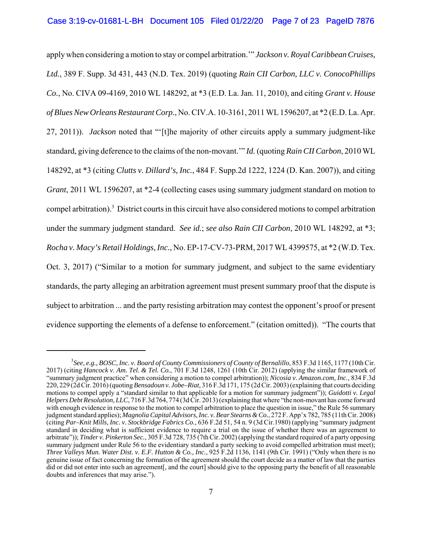apply when considering a motion to stay or compel arbitration.'" *Jackson v. Royal Caribbean Cruises, Ltd.*, 389 F. Supp. 3d 431, 443 (N.D. Tex. 2019) (quoting *Rain CII Carbon, LLC v. ConocoPhillips Co.*, No. CIVA 09-4169, 2010 WL 148292, at \*3 (E.D. La. Jan. 11, 2010), and citing *Grant v. House of Blues New Orleans Restaurant Corp.*, No. CIV.A. 10-3161, 2011 WL 1596207, at \*2 (E.D. La. Apr. 27, 2011)). *Jackson* noted that "'[t]he majority of other circuits apply a summary judgment-like standard, giving deference to the claims of the non-movant.'" *Id.* (quoting *Rain CII Carbon*, 2010 WL 148292, at \*3 (citing *Clutts v. Dillard's, Inc.*, 484 F. Supp.2d 1222, 1224 (D. Kan. 2007)), and citing *Grant*, 2011 WL 1596207, at \*2-4 (collecting cases using summary judgment standard on motion to compel arbitration).<sup>3</sup> District courts in this circuit have also considered motions to compel arbitration under the summary judgment standard. *See id.*; *see also Rain CII Carbon*, 2010 WL 148292, at \*3; *Rocha v. Macy's Retail Holdings, Inc.*, No. EP-17-CV-73-PRM, 2017 WL 4399575, at \*2 (W.D. Tex. Oct. 3, 2017) ("Similar to a motion for summary judgment, and subject to the same evidentiary standards, the party alleging an arbitration agreement must present summary proof that the dispute is subject to arbitration ... and the party resisting arbitration may contest the opponent's proof or present evidence supporting the elements of a defense to enforcement." (citation omitted)). "The courts that

<sup>&</sup>lt;sup>3</sup> See, e.g., BOSC, Inc. v. Board of County Commissioners of County of Bernalillo, 853 F.3d 1165, 1177 (10th Cir. 2017) (citing *Hancock v. Am. Tel. & Tel. Co.*, 701 F.3d 1248, 1261 (10th Cir. 2012) (applying the similar framework of "summary judgment practice" when considering a motion to compel arbitration)); *Nicosia v. Amazon.com, Inc.*, 834 F.3d 220, 229 (2d Cir. 2016) (quoting *Bensadoun v. Jobe–Riat,* 316 F.3d 171, 175 (2d Cir. 2003) (explaining that courts deciding motions to compel apply a "standard similar to that applicable for a motion for summary judgment")); *Guidotti v. Legal Helpers Debt Resolution, LLC*, 716 F.3d 764, 774 (3d Cir. 2013) (explaining that where "the non-movant has come forward with enough evidence in response to the motion to compel arbitration to place the question in issue," the Rule 56 summary judgment standard applies); *Magnolia Capital Advisors, Inc. v. Bear Stearns & Co.*, 272 F. App'x 782, 785 (11th Cir. 2008) (citing *Par–Knit Mills, Inc. v. Stockbridge Fabrics Co.*, 636 F.2d 51, 54 n. 9 (3d Cir.1980) (applying "summary judgment standard in deciding what is sufficient evidence to require a trial on the issue of whether there was an agreement to arbitrate")); *Tinder v. Pinkerton Sec.*, 305 F.3d 728, 735 (7th Cir. 2002) (applying the standard required of a party opposing summary judgment under Rule 56 to the evidentiary standard a party seeking to avoid compelled arbitration must meet); *Three Valleys Mun. Water Dist. v. E.F. Hutton & Co., Inc.*, 925 F.2d 1136, 1141 (9th Cir. 1991) ("Only when there is no genuine issue of fact concerning the formation of the agreement should the court decide as a matter of law that the parties did or did not enter into such an agreement, and the court] should give to the opposing party the benefit of all reasonable doubts and inferences that may arise.").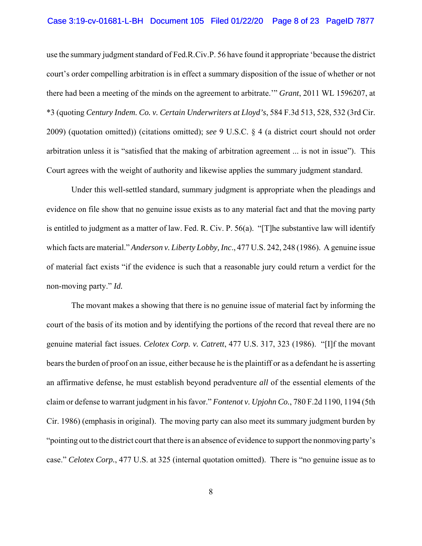### Case 3:19-cv-01681-L-BH Document 105 Filed 01/22/20 Page 8 of 23 PageID 7877

use the summary judgment standard of Fed.R.Civ.P. 56 have found it appropriate 'because the district court's order compelling arbitration is in effect a summary disposition of the issue of whether or not there had been a meeting of the minds on the agreement to arbitrate.'" *Grant*, 2011 WL 1596207, at \*3 (quoting *Century Indem. Co. v. Certain Underwriters at Lloyd's*, 584 F.3d 513, 528, 532 (3rd Cir. 2009) (quotation omitted)) (citations omitted); *see* 9 U.S.C. § 4 (a district court should not order arbitration unless it is "satisfied that the making of arbitration agreement ... is not in issue"). This Court agrees with the weight of authority and likewise applies the summary judgment standard.

Under this well-settled standard, summary judgment is appropriate when the pleadings and evidence on file show that no genuine issue exists as to any material fact and that the moving party is entitled to judgment as a matter of law. Fed. R. Civ. P. 56(a). "[T]he substantive law will identify which facts are material." *Anderson v. Liberty Lobby, Inc*., 477 U.S. 242, 248 (1986). A genuine issue of material fact exists "if the evidence is such that a reasonable jury could return a verdict for the non-moving party." *Id.*

The movant makes a showing that there is no genuine issue of material fact by informing the court of the basis of its motion and by identifying the portions of the record that reveal there are no genuine material fact issues. *Celotex Corp. v. Catrett*, 477 U.S. 317, 323 (1986). "[I]f the movant bears the burden of proof on an issue, either because he is the plaintiff or as a defendant he is asserting an affirmative defense, he must establish beyond peradventure *all* of the essential elements of the claim or defense to warrant judgment in his favor." *Fontenot v. Upjohn Co.*, 780 F.2d 1190, 1194 (5th Cir. 1986) (emphasis in original). The moving party can also meet its summary judgment burden by "pointing out to the district court that there is an absence of evidence to support the nonmoving party's case." *Celotex Corp.*, 477 U.S. at 325 (internal quotation omitted). There is "no genuine issue as to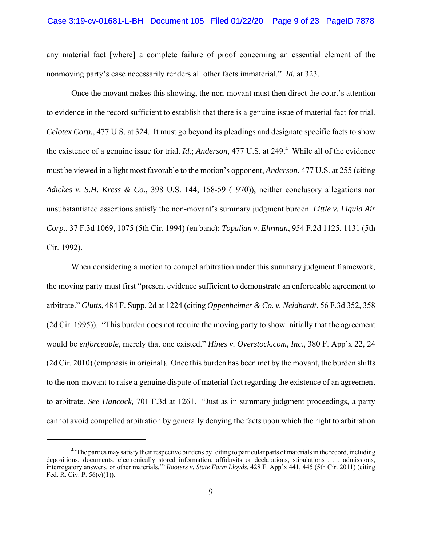### Case 3:19-cv-01681-L-BH Document 105 Filed 01/22/20 Page 9 of 23 PageID 7878

any material fact [where] a complete failure of proof concerning an essential element of the nonmoving party's case necessarily renders all other facts immaterial." *Id.* at 323.

Once the movant makes this showing, the non-movant must then direct the court's attention to evidence in the record sufficient to establish that there is a genuine issue of material fact for trial. *Celotex Corp.*, 477 U.S. at 324. It must go beyond its pleadings and designate specific facts to show the existence of a genuine issue for trial. *Id.*; *Anderson*, 477 U.S. at 249.<sup>4</sup> While all of the evidence must be viewed in a light most favorable to the motion's opponent, *Anderson*, 477 U.S. at 255 (citing *Adickes v. S.H. Kress & Co.*, 398 U.S. 144, 158-59 (1970)), neither conclusory allegations nor unsubstantiated assertions satisfy the non-movant's summary judgment burden. *Little v. Liquid Air Corp.*, 37 F.3d 1069, 1075 (5th Cir. 1994) (en banc); *Topalian v. Ehrman*, 954 F.2d 1125, 1131 (5th Cir. 1992).

When considering a motion to compel arbitration under this summary judgment framework, the moving party must first "present evidence sufficient to demonstrate an enforceable agreement to arbitrate." *Clutts*, 484 F. Supp. 2d at 1224 (citing *Oppenheimer & Co. v. Neidhardt*, 56 F.3d 352, 358 (2d Cir. 1995)). "This burden does not require the moving party to show initially that the agreement would be *enforceable*, merely that one existed." *Hines v. Overstock.com, Inc.*, 380 F. App'x 22, 24 (2d Cir. 2010) (emphasis in original). Once this burden has been met by the movant, the burden shifts to the non-movant to raise a genuine dispute of material fact regarding the existence of an agreement to arbitrate. *See Hancock,* 701 F.3d at 1261. "Just as in summary judgment proceedings, a party cannot avoid compelled arbitration by generally denying the facts upon which the right to arbitration

<sup>&</sup>lt;sup>4.</sup> The parties may satisfy their respective burdens by 'citing to particular parts of materials in the record, including depositions, documents, electronically stored information, affidavits or declarations, stipulations . . . admissions, interrogatory answers, or other materials.'" *Rooters v. State Farm Lloyds*, 428 F. App'x 441, 445 (5th Cir. 2011) (citing Fed. R. Civ. P. 56(c)(1)).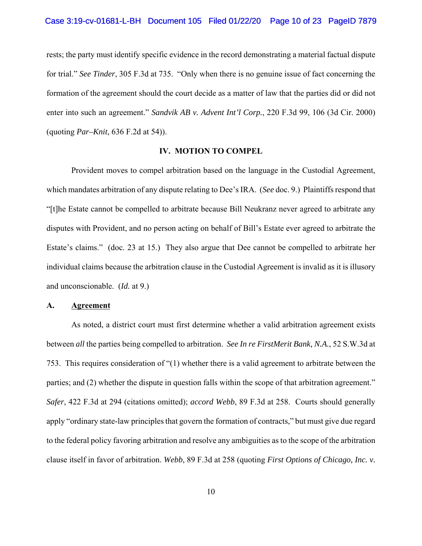#### Case 3:19-cv-01681-L-BH Document 105 Filed 01/22/20 Page 10 of 23 PageID 7879

rests; the party must identify specific evidence in the record demonstrating a material factual dispute for trial." *See Tinder*, 305 F.3d at 735. "Only when there is no genuine issue of fact concerning the formation of the agreement should the court decide as a matter of law that the parties did or did not enter into such an agreement." *Sandvik AB v. Advent Int'l Corp.*, 220 F.3d 99, 106 (3d Cir. 2000) (quoting *Par–Knit*, 636 F.2d at 54)).

### **IV. MOTION TO COMPEL**

Provident moves to compel arbitration based on the language in the Custodial Agreement, which mandates arbitration of any dispute relating to Dee's IRA. (*See* doc. 9.) Plaintiffs respond that "[t]he Estate cannot be compelled to arbitrate because Bill Neukranz never agreed to arbitrate any disputes with Provident, and no person acting on behalf of Bill's Estate ever agreed to arbitrate the Estate's claims." (doc. 23 at 15.) They also argue that Dee cannot be compelled to arbitrate her individual claims because the arbitration clause in the Custodial Agreement is invalid as it is illusory and unconscionable. (*Id.* at 9.)

#### **A. Agreement**

As noted, a district court must first determine whether a valid arbitration agreement exists between *all* the parties being compelled to arbitration. *See In re FirstMerit Bank, N.A.*, 52 S.W.3d at 753. This requires consideration of "(1) whether there is a valid agreement to arbitrate between the parties; and (2) whether the dispute in question falls within the scope of that arbitration agreement." *Safer*, 422 F.3d at 294 (citations omitted); *accord Webb*, 89 F.3d at 258. Courts should generally apply "ordinary state-law principles that govern the formation of contracts," but must give due regard to the federal policy favoring arbitration and resolve any ambiguities as to the scope of the arbitration clause itself in favor of arbitration. *Webb*, 89 F.3d at 258 (quoting *First Options of Chicago, Inc. v.*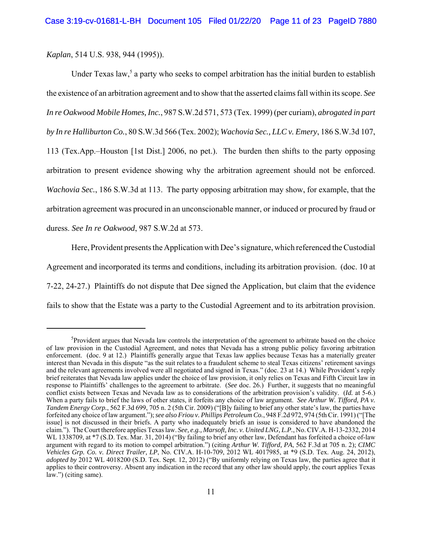*Kaplan*, 514 U.S. 938, 944 (1995)).

Under Texas law,<sup>5</sup> a party who seeks to compel arbitration has the initial burden to establish the existence of an arbitration agreement and to show that the asserted claims fall within its scope. *See In re Oakwood Mobile Homes, Inc.*, 987 S.W.2d 571, 573 (Tex. 1999) (per curiam), *abrogated in part by In re Halliburton Co.*, 80 S.W.3d 566 (Tex. 2002); *Wachovia Sec., LLC v. Emery*, 186 S.W.3d 107, 113 (Tex.App.–Houston [1st Dist.] 2006, no pet.). The burden then shifts to the party opposing arbitration to present evidence showing why the arbitration agreement should not be enforced. *Wachovia Sec.*, 186 S.W.3d at 113. The party opposing arbitration may show, for example, that the arbitration agreement was procured in an unconscionable manner, or induced or procured by fraud or duress. *See In re Oakwood*, 987 S.W.2d at 573.

Here, Provident presents the Application with Dee's signature, which referenced the Custodial Agreement and incorporated its terms and conditions, including its arbitration provision. (doc. 10 at 7-22, 24-27.) Plaintiffs do not dispute that Dee signed the Application, but claim that the evidence fails to show that the Estate was a party to the Custodial Agreement and to its arbitration provision.

<sup>&</sup>lt;sup>5</sup>Provident argues that Nevada law controls the interpretation of the agreement to arbitrate based on the choice of law provision in the Custodial Agreement, and notes that Nevada has a strong public policy favoring arbitration enforcement. (doc. 9 at 12.) Plaintiffs generally argue that Texas law applies because Texas has a materially greater interest than Nevada in this dispute "as the suit relates to a fraudulent scheme to steal Texas citizens' retirement savings and the relevant agreements involved were all negotiated and signed in Texas." (doc. 23 at 14.) While Provident's reply brief reiterates that Nevada law applies under the choice of law provision, it only relies on Texas and Fifth Circuit law in response to Plaintiffs' challenges to the agreement to arbitrate. (*See* doc. 26.) Further, it suggests that no meaningful conflict exists between Texas and Nevada law as to considerations of the arbitration provision's validity. (*Id.* at 5-6.) When a party fails to brief the laws of other states, it forfeits any choice of law argument. *See Arthur W. Tifford, PA v. Tandem Energy Corp.*, 562 F.3d 699, 705 n. 2 (5th Cir. 2009) ("[B]y failing to brief any other state's law, the parties have forfeited any choice of law argument."); *see also Friou v. Phillips Petroleum Co.*, 948 F.2d 972, 974 (5th Cir. 1991) ("[The issue] is not discussed in their briefs. A party who inadequately briefs an issue is considered to have abandoned the claim."). The Court therefore applies Texas law. *See, e.g., Marsoft, Inc. v. United LNG, L.P.*, No. CIV.A. H-13-2332, 2014 WL 1338709, at \*7 (S.D. Tex. Mar. 31, 2014) ("By failing to brief any other law, Defendant has forfeited a choice of-law argument with regard to its motion to compel arbitration.") (citing *Arthur W. Tifford, PA*, 562 F.3d at 705 n. 2); *CIMC Vehicles Grp. Co. v. Direct Trailer, LP*, No. CIV.A. H-10-709, 2012 WL 4017985, at \*9 (S.D. Tex. Aug. 24, 2012), *adopted by* 2012 WL 4018200 (S.D. Tex. Sept. 12, 2012) ("By uniformly relying on Texas law, the parties agree that it applies to their controversy. Absent any indication in the record that any other law should apply, the court applies Texas law.") (citing same).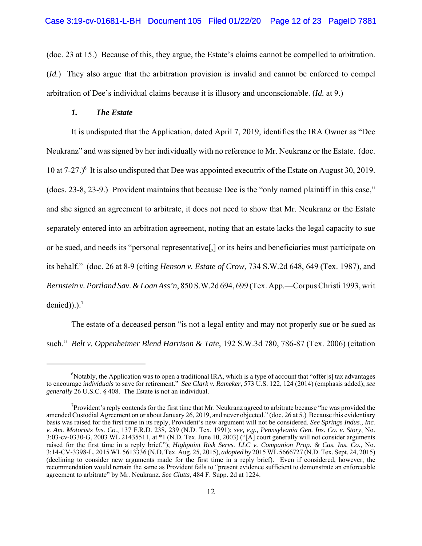(doc. 23 at 15.) Because of this, they argue, the Estate's claims cannot be compelled to arbitration. (*Id.*) They also argue that the arbitration provision is invalid and cannot be enforced to compel arbitration of Dee's individual claims because it is illusory and unconscionable. (*Id.* at 9.)

#### *1. The Estate*

It is undisputed that the Application, dated April 7, 2019, identifies the IRA Owner as "Dee Neukranz" and was signed by her individually with no reference to Mr. Neukranz or the Estate. (doc. 10 at 7-27.)<sup>6</sup> It is also undisputed that Dee was appointed executrix of the Estate on August 30, 2019. (docs. 23-8, 23-9.) Provident maintains that because Dee is the "only named plaintiff in this case," and she signed an agreement to arbitrate, it does not need to show that Mr. Neukranz or the Estate separately entered into an arbitration agreement, noting that an estate lacks the legal capacity to sue or be sued, and needs its "personal representative[,] or its heirs and beneficiaries must participate on its behalf." (doc. 26 at 8-9 (citing *Henson v. Estate of Crow*, 734 S.W.2d 648, 649 (Tex. 1987), and *Bernstein v. Portland Sav. & Loan Ass'n*, 850 S.W.2d 694, 699 (Tex. App.—Corpus Christi 1993, writ denied)).). $^7$ 

The estate of a deceased person "is not a legal entity and may not properly sue or be sued as such." *Belt v. Oppenheimer Blend Harrison & Tate*, 192 S.W.3d 780, 786-87 (Tex. 2006) (citation

<sup>&</sup>lt;sup>6</sup>Notably, the Application was to open a traditional IRA, which is a type of account that "offer[s] tax advantages to encourage *individuals* to save for retirement." *See Clark v. Rameker*, 573 U.S. 122, 124 (2014) (emphasis added); *see generally* 26 U.S.C. § 408. The Estate is not an individual.

 $7$ Provident's reply contends for the first time that Mr. Neukranz agreed to arbitrate because "he was provided the amended Custodial Agreement on or about January 26, 2019, and never objected." (doc. 26 at 5.) Because this evidentiary basis was raised for the first time in its reply, Provident's new argument will not be considered. *See Springs Indus., Inc. v. Am. Motorists Ins. Co.*, 137 F.R.D. 238, 239 (N.D. Tex. 1991); *see, e.g., Pennsylvania Gen. Ins. Co. v. Story*, No. 3:03-cv-0330-G, 2003 WL 21435511, at \*1 (N.D. Tex. June 10, 2003) ("[A] court generally will not consider arguments raised for the first time in a reply brief."); *Highpoint Risk Servs. LLC v. Companion Prop. & Cas. Ins. Co.*, No. 3:14-CV-3398-L, 2015 WL 5613336 (N.D. Tex. Aug. 25, 2015), *adopted by* 2015 WL 5666727 (N.D. Tex. Sept. 24, 2015) (declining to consider new arguments made for the first time in a reply brief). Even if considered, however, the recommendation would remain the same as Provident fails to "present evidence sufficient to demonstrate an enforceable agreement to arbitrate" by Mr. Neukranz. *See Clutts*, 484 F. Supp. 2d at 1224.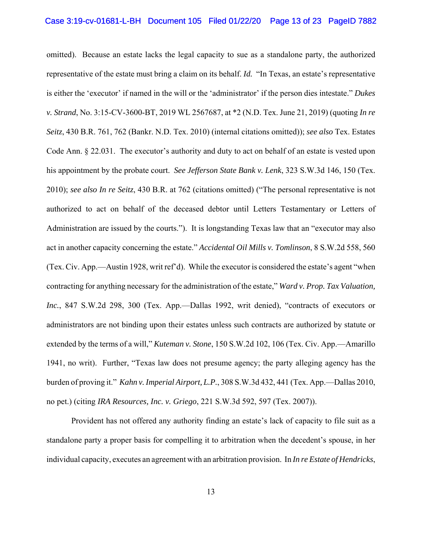omitted). Because an estate lacks the legal capacity to sue as a standalone party, the authorized representative of the estate must bring a claim on its behalf. *Id.* "In Texas, an estate's representative is either the 'executor' if named in the will or the 'administrator' if the person dies intestate." *Dukes v. Strand*, No. 3:15-CV-3600-BT, 2019 WL 2567687, at \*2 (N.D. Tex. June 21, 2019) (quoting *In re Seitz*, 430 B.R. 761, 762 (Bankr. N.D. Tex. 2010) (internal citations omitted)); *see also* Tex. Estates Code Ann. § 22.031. The executor's authority and duty to act on behalf of an estate is vested upon his appointment by the probate court. *See Jefferson State Bank v. Lenk*, 323 S.W.3d 146, 150 (Tex. 2010); *see also In re Seitz*, 430 B.R. at 762 (citations omitted) ("The personal representative is not authorized to act on behalf of the deceased debtor until Letters Testamentary or Letters of Administration are issued by the courts."). It is longstanding Texas law that an "executor may also act in another capacity concerning the estate." *Accidental Oil Mills v. Tomlinson*, 8 S.W.2d 558, 560 (Tex. Civ. App.—Austin 1928, writ ref'd). While the executor is considered the estate's agent "when contracting for anything necessary for the administration of the estate," *Ward v. Prop. Tax Valuation, Inc.*, 847 S.W.2d 298, 300 (Tex. App.—Dallas 1992, writ denied), "contracts of executors or administrators are not binding upon their estates unless such contracts are authorized by statute or extended by the terms of a will," *Kuteman v. Stone*, 150 S.W.2d 102, 106 (Tex. Civ. App.—Amarillo 1941, no writ). Further, "Texas law does not presume agency; the party alleging agency has the burden of proving it." *Kahn v. Imperial Airport, L.P.*, 308 S.W.3d 432, 441 (Tex. App.—Dallas 2010, no pet.) (citing *IRA Resources, Inc. v. Griego*, 221 S.W.3d 592, 597 (Tex. 2007)).

Provident has not offered any authority finding an estate's lack of capacity to file suit as a standalone party a proper basis for compelling it to arbitration when the decedent's spouse, in her individual capacity, executes an agreement with an arbitration provision. In *In re Estate of Hendricks*,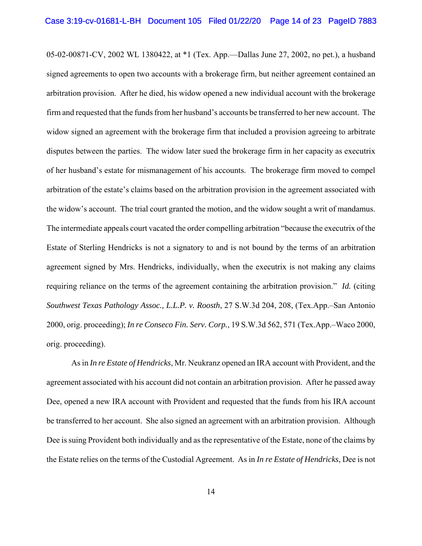05-02-00871-CV, 2002 WL 1380422, at \*1 (Tex. App.—Dallas June 27, 2002, no pet.), a husband signed agreements to open two accounts with a brokerage firm, but neither agreement contained an arbitration provision. After he died, his widow opened a new individual account with the brokerage firm and requested that the funds from her husband's accounts be transferred to her new account. The widow signed an agreement with the brokerage firm that included a provision agreeing to arbitrate disputes between the parties. The widow later sued the brokerage firm in her capacity as executrix of her husband's estate for mismanagement of his accounts. The brokerage firm moved to compel arbitration of the estate's claims based on the arbitration provision in the agreement associated with the widow's account. The trial court granted the motion, and the widow sought a writ of mandamus. The intermediate appeals court vacated the order compelling arbitration "because the executrix of the Estate of Sterling Hendricks is not a signatory to and is not bound by the terms of an arbitration agreement signed by Mrs. Hendricks, individually, when the executrix is not making any claims requiring reliance on the terms of the agreement containing the arbitration provision." *Id.* (citing *Southwest Texas Pathology Assoc., L.L.P. v. Roosth*, 27 S.W.3d 204, 208, (Tex.App.–San Antonio 2000, orig. proceeding); *In re Conseco Fin. Serv. Corp.*, 19 S.W.3d 562, 571 (Tex.App.–Waco 2000, orig. proceeding).

As in *In re Estate of Hendricks*, Mr. Neukranz opened an IRA account with Provident, and the agreement associated with his account did not contain an arbitration provision. After he passed away Dee, opened a new IRA account with Provident and requested that the funds from his IRA account be transferred to her account. She also signed an agreement with an arbitration provision. Although Dee is suing Provident both individually and as the representative of the Estate, none of the claims by the Estate relies on the terms of the Custodial Agreement. As in *In re Estate of Hendricks*, Dee is not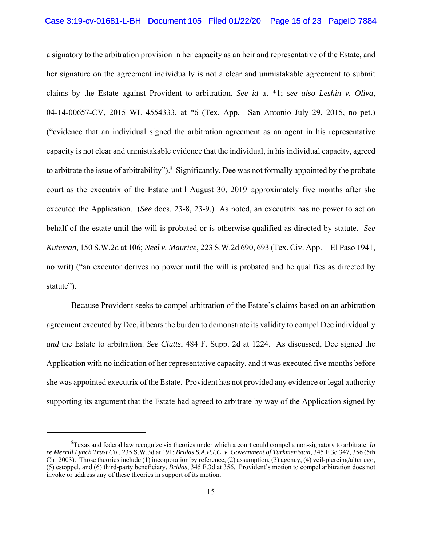a signatory to the arbitration provision in her capacity as an heir and representative of the Estate, and her signature on the agreement individually is not a clear and unmistakable agreement to submit claims by the Estate against Provident to arbitration. *See id* at \*1; *see also Leshin v. Oliva*, 04-14-00657-CV, 2015 WL 4554333, at \*6 (Tex. App.—San Antonio July 29, 2015, no pet.) ("evidence that an individual signed the arbitration agreement as an agent in his representative capacity is not clear and unmistakable evidence that the individual, in his individual capacity, agreed to arbitrate the issue of arbitrability").<sup>8</sup> Significantly, Dee was not formally appointed by the probate court as the executrix of the Estate until August 30, 2019–approximately five months after she executed the Application. (*See* docs. 23-8, 23-9.) As noted, an executrix has no power to act on behalf of the estate until the will is probated or is otherwise qualified as directed by statute. *See Kuteman*, 150 S.W.2d at 106; *Neel v. Maurice*, 223 S.W.2d 690, 693 (Tex. Civ. App.—El Paso 1941, no writ) ("an executor derives no power until the will is probated and he qualifies as directed by statute").

Because Provident seeks to compel arbitration of the Estate's claims based on an arbitration agreement executed by Dee, it bears the burden to demonstrate its validity to compel Dee individually *and* the Estate to arbitration. *See Clutts*, 484 F. Supp. 2d at 1224. As discussed, Dee signed the Application with no indication of her representative capacity, and it was executed five months before she was appointed executrix of the Estate. Provident has not provided any evidence or legal authority supporting its argument that the Estate had agreed to arbitrate by way of the Application signed by

<sup>8</sup> Texas and federal law recognize six theories under which a court could compel a non-signatory to arbitrate. *In re Merrill Lynch Trust Co.*, 235 S.W.3d at 191; *Bridas S.A.P.I.C. v. Government of Turkmenistan*, 345 F.3d 347, 356 (5th Cir. 2003). Those theories include (1) incorporation by reference, (2) assumption, (3) agency, (4) veil-piercing/alter ego, (5) estoppel, and (6) third-party beneficiary. *Bridas*, 345 F.3d at 356. Provident's motion to compel arbitration does not invoke or address any of these theories in support of its motion.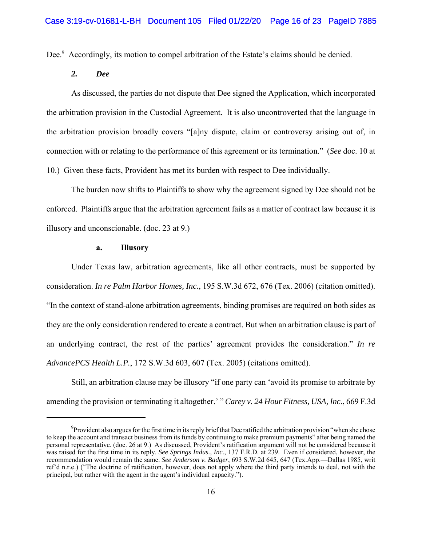Dee.<sup>9</sup> Accordingly, its motion to compel arbitration of the Estate's claims should be denied.

### *2. Dee*

As discussed, the parties do not dispute that Dee signed the Application, which incorporated the arbitration provision in the Custodial Agreement. It is also uncontroverted that the language in the arbitration provision broadly covers "[a]ny dispute, claim or controversy arising out of, in connection with or relating to the performance of this agreement or its termination." (*See* doc. 10 at 10.) Given these facts, Provident has met its burden with respect to Dee individually.

The burden now shifts to Plaintiffs to show why the agreement signed by Dee should not be enforced. Plaintiffs argue that the arbitration agreement fails as a matter of contract law because it is illusory and unconscionable. (doc. 23 at 9.)

### **a. Illusory**

Under Texas law, arbitration agreements, like all other contracts, must be supported by consideration. *In re Palm Harbor Homes, Inc.*, 195 S.W.3d 672, 676 (Tex. 2006) (citation omitted). "In the context of stand-alone arbitration agreements, binding promises are required on both sides as they are the only consideration rendered to create a contract. But when an arbitration clause is part of an underlying contract, the rest of the parties' agreement provides the consideration." *In re AdvancePCS Health L.P.*, 172 S.W.3d 603, 607 (Tex. 2005) (citations omitted).

Still, an arbitration clause may be illusory "if one party can 'avoid its promise to arbitrate by amending the provision or terminating it altogether.' " *Carey v. 24 Hour Fitness, USA, Inc.*, 669 F.3d

 $^{9}$ Provident also argues for the first time in its reply brief that Dee ratified the arbitration provision "when she chose to keep the account and transact business from its funds by continuing to make premium payments" after being named the personal representative. (doc. 26 at 9.) As discussed, Provident's ratification argument will not be considered because it was raised for the first time in its reply. *See Springs Indus., Inc.*, 137 F.R.D. at 239. Even if considered, however, the recommendation would remain the same. *See Anderson v. Badger*, 693 S.W.2d 645, 647 (Tex.App.—Dallas 1985, writ ref'd n.r.e.) ("The doctrine of ratification, however, does not apply where the third party intends to deal, not with the principal, but rather with the agent in the agent's individual capacity.").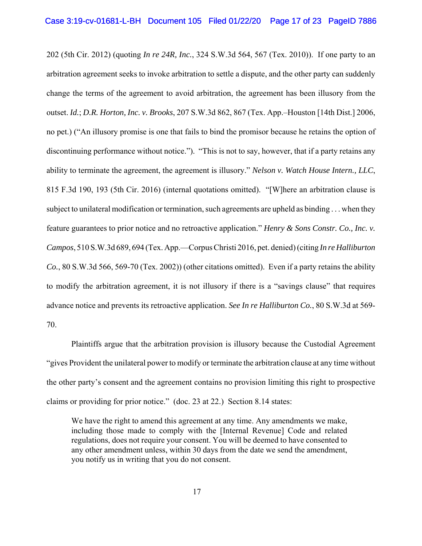202 (5th Cir. 2012) (quoting *In re 24R, Inc.*, 324 S.W.3d 564, 567 (Tex. 2010)). If one party to an arbitration agreement seeks to invoke arbitration to settle a dispute, and the other party can suddenly change the terms of the agreement to avoid arbitration, the agreement has been illusory from the outset. *Id.*; *D.R. Horton, Inc. v. Brooks*, 207 S.W.3d 862, 867 (Tex. App.–Houston [14th Dist.] 2006, no pet.) ("An illusory promise is one that fails to bind the promisor because he retains the option of discontinuing performance without notice."). "This is not to say, however, that if a party retains any ability to terminate the agreement, the agreement is illusory." *Nelson v. Watch House Intern., LLC*, 815 F.3d 190, 193 (5th Cir. 2016) (internal quotations omitted). "[W]here an arbitration clause is subject to unilateral modification or termination, such agreements are upheld as binding . . . when they feature guarantees to prior notice and no retroactive application." *Henry & Sons Constr. Co., Inc. v. Campos*, 510 S.W.3d 689, 694 (Tex. App.—Corpus Christi 2016, pet. denied) (citing *In re Halliburton Co.*, 80 S.W.3d 566, 569-70 (Tex. 2002)) (other citations omitted). Even if a party retains the ability to modify the arbitration agreement, it is not illusory if there is a "savings clause" that requires advance notice and prevents its retroactive application. *See In re Halliburton Co.*, 80 S.W.3d at 569- 70.

Plaintiffs argue that the arbitration provision is illusory because the Custodial Agreement "gives Provident the unilateral power to modify or terminate the arbitration clause at any time without the other party's consent and the agreement contains no provision limiting this right to prospective claims or providing for prior notice." (doc. 23 at 22.) Section 8.14 states:

We have the right to amend this agreement at any time. Any amendments we make, including those made to comply with the [Internal Revenue] Code and related regulations, does not require your consent. You will be deemed to have consented to any other amendment unless, within 30 days from the date we send the amendment, you notify us in writing that you do not consent.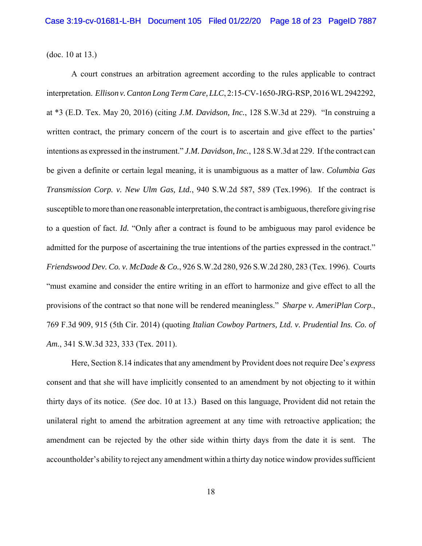(doc. 10 at 13.)

A court construes an arbitration agreement according to the rules applicable to contract interpretation. *Ellison v. Canton Long Term Care, LLC*, 2:15-CV-1650-JRG-RSP, 2016 WL 2942292, at \*3 (E.D. Tex. May 20, 2016) (citing *J.M. Davidson, Inc.*, 128 S.W.3d at 229). "In construing a written contract, the primary concern of the court is to ascertain and give effect to the parties' intentions as expressed in the instrument." *J.M. Davidson, Inc.*, 128 S.W.3d at 229. If the contract can be given a definite or certain legal meaning, it is unambiguous as a matter of law. *Columbia Gas Transmission Corp. v. New Ulm Gas, Ltd.*, 940 S.W.2d 587, 589 (Tex.1996). If the contract is susceptible to more than one reasonable interpretation, the contract is ambiguous, therefore giving rise to a question of fact. *Id.* "Only after a contract is found to be ambiguous may parol evidence be admitted for the purpose of ascertaining the true intentions of the parties expressed in the contract." *Friendswood Dev. Co. v. McDade & Co.*, 926 S.W.2d 280, 926 S.W.2d 280, 283 (Tex. 1996). Courts "must examine and consider the entire writing in an effort to harmonize and give effect to all the provisions of the contract so that none will be rendered meaningless." *Sharpe v. AmeriPlan Corp.*, 769 F.3d 909, 915 (5th Cir. 2014) (quoting *Italian Cowboy Partners, Ltd. v. Prudential Ins. Co. of Am.*, 341 S.W.3d 323, 333 (Tex. 2011).

Here, Section 8.14 indicates that any amendment by Provident does not require Dee's *express* consent and that she will have implicitly consented to an amendment by not objecting to it within thirty days of its notice. (*See* doc. 10 at 13.) Based on this language, Provident did not retain the unilateral right to amend the arbitration agreement at any time with retroactive application; the amendment can be rejected by the other side within thirty days from the date it is sent. The accountholder's ability to reject any amendment within a thirty day notice window provides sufficient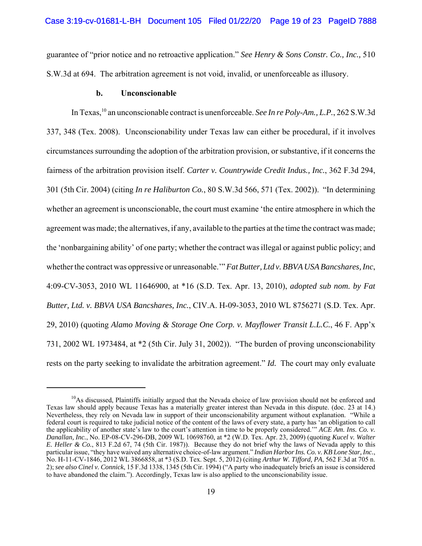guarantee of "prior notice and no retroactive application." *See Henry & Sons Constr. Co., Inc.,* 510 S.W.3d at 694. The arbitration agreement is not void, invalid, or unenforceable as illusory.

#### **b. Unconscionable**

In Texas,<sup>10</sup> an unconscionable contract is unenforceable. *See In re Poly-Am., L.P.*, 262 S.W.3d 337, 348 (Tex. 2008). Unconscionability under Texas law can either be procedural, if it involves circumstances surrounding the adoption of the arbitration provision, or substantive, if it concerns the fairness of the arbitration provision itself. *Carter v. Countrywide Credit Indus., Inc.*, 362 F.3d 294, 301 (5th Cir. 2004) (citing *In re Haliburton Co.*, 80 S.W.3d 566, 571 (Tex. 2002)). "In determining whether an agreement is unconscionable, the court must examine 'the entire atmosphere in which the agreement was made; the alternatives, if any, available to the parties at the time the contract was made; the 'nonbargaining ability' of one party; whether the contract was illegal or against public policy; and whether the contract was oppressive or unreasonable.'" *Fat Butter, Ltd v. BBVA USA Bancshares, Inc*, 4:09-CV-3053, 2010 WL 11646900, at \*16 (S.D. Tex. Apr. 13, 2010), *adopted sub nom. by Fat Butter, Ltd. v. BBVA USA Bancshares, Inc.*, CIV.A. H-09-3053, 2010 WL 8756271 (S.D. Tex. Apr. 29, 2010) (quoting *Alamo Moving & Storage One Corp. v. Mayflower Transit L.L.C.*, 46 F. App'x 731, 2002 WL 1973484, at \*2 (5th Cir. July 31, 2002)). "The burden of proving unconscionability rests on the party seeking to invalidate the arbitration agreement." *Id.* The court may only evaluate

<sup>&</sup>lt;sup>10</sup>As discussed, Plaintiffs initially argued that the Nevada choice of law provision should not be enforced and Texas law should apply because Texas has a materially greater interest than Nevada in this dispute. (doc. 23 at 14.) Nevertheless, they rely on Nevada law in support of their unconscionability argument without explanation. "While a federal court is required to take judicial notice of the content of the laws of every state, a party has 'an obligation to call the applicability of another state's law to the court's attention in time to be properly considered.'" *ACE Am. Ins. Co. v. Danallan, Inc.*, No. EP-08-CV-296-DB, 2009 WL 10698760, at \*2 (W.D. Tex. Apr. 23, 2009) (quoting *Kucel v. Walter E. Heller & Co.*, 813 F.2d 67, 74 (5th Cir. 1987)). Because they do not brief why the laws of Nevada apply to this particular issue, "they have waived any alternative choice-of-law argument." *Indian Harbor Ins. Co. v. KB Lone Star, Inc.*, No. H-11-CV-1846, 2012 WL 3866858, at \*3 (S.D. Tex. Sept. 5, 2012) (citing *Arthur W. Tifford, PA*, 562 F.3d at 705 n. 2); *see also Cinel v. Connick*, 15 F.3d 1338, 1345 (5th Cir. 1994) ("A party who inadequately briefs an issue is considered to have abandoned the claim."). Accordingly, Texas law is also applied to the unconscionability issue.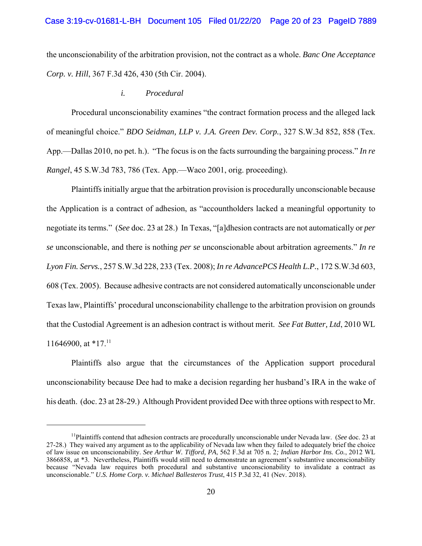the unconscionability of the arbitration provision, not the contract as a whole. *Banc One Acceptance Corp. v. Hill*, 367 F.3d 426, 430 (5th Cir. 2004).

#### *i. Procedural*

Procedural unconscionability examines "the contract formation process and the alleged lack of meaningful choice." *BDO Seidman, LLP v. J.A. Green Dev. Corp.*, 327 S.W.3d 852, 858 (Tex. App.—Dallas 2010, no pet. h.). "The focus is on the facts surrounding the bargaining process." *In re Rangel*, 45 S.W.3d 783, 786 (Tex. App.—Waco 2001, orig. proceeding).

Plaintiffs initially argue that the arbitration provision is procedurally unconscionable because the Application is a contract of adhesion, as "accountholders lacked a meaningful opportunity to negotiate its terms." (*See* doc. 23 at 28.) In Texas, "[a]dhesion contracts are not automatically or *per se* unconscionable, and there is nothing *per se* unconscionable about arbitration agreements." *In re Lyon Fin. Servs.*, 257 S.W.3d 228, 233 (Tex. 2008); *In re AdvancePCS Health L.P.*, 172 S.W.3d 603, 608 (Tex. 2005). Because adhesive contracts are not considered automatically unconscionable under Texas law, Plaintiffs' procedural unconscionability challenge to the arbitration provision on grounds that the Custodial Agreement is an adhesion contract is without merit. *See Fat Butter, Ltd*, 2010 WL 11646900, at  $*17$ .<sup>11</sup>

Plaintiffs also argue that the circumstances of the Application support procedural unconscionability because Dee had to make a decision regarding her husband's IRA in the wake of his death. (doc. 23 at 28-29.) Although Provident provided Dee with three options with respect to Mr.

<sup>11</sup>Plaintiffs contend that adhesion contracts are procedurally unconscionable under Nevada law. (*See* doc. 23 at 27-28.) They waived any argument as to the applicability of Nevada law when they failed to adequately brief the choice of law issue on unconscionability. *See Arthur W. Tifford, PA*, 562 F.3d at 705 n. 2*; Indian Harbor Ins. Co.*, 2012 WL 3866858, at \*3. Nevertheless, Plaintiffs would still need to demonstrate an agreement's substantive unconscionability because "Nevada law requires both procedural and substantive unconscionability to invalidate a contract as unconscionable." *U.S. Home Corp. v. Michael Ballesteros Trust*, 415 P.3d 32, 41 (Nev. 2018).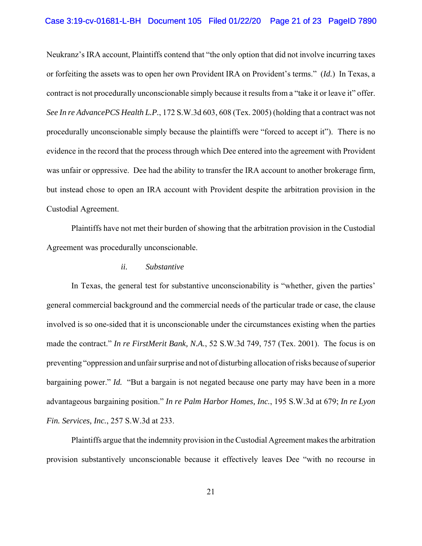# Case 3:19-cv-01681-L-BH Document 105 Filed 01/22/20 Page 21 of 23 PageID 7890

Neukranz's IRA account, Plaintiffs contend that "the only option that did not involve incurring taxes or forfeiting the assets was to open her own Provident IRA on Provident's terms." (*Id.*) In Texas, a contract is not procedurally unconscionable simply because it results from a "take it or leave it" offer. *See In re AdvancePCS Health L.P.*, 172 S.W.3d 603, 608 (Tex. 2005) (holding that a contract was not procedurally unconscionable simply because the plaintiffs were "forced to accept it"). There is no evidence in the record that the process through which Dee entered into the agreement with Provident was unfair or oppressive. Dee had the ability to transfer the IRA account to another brokerage firm, but instead chose to open an IRA account with Provident despite the arbitration provision in the Custodial Agreement.

Plaintiffs have not met their burden of showing that the arbitration provision in the Custodial Agreement was procedurally unconscionable.

### *ii. Substantive*

In Texas, the general test for substantive unconscionability is "whether, given the parties' general commercial background and the commercial needs of the particular trade or case, the clause involved is so one-sided that it is unconscionable under the circumstances existing when the parties made the contract." *In re FirstMerit Bank, N.A.*, 52 S.W.3d 749, 757 (Tex. 2001). The focus is on preventing "oppression and unfair surprise and not of disturbing allocation of risks because of superior bargaining power." *Id.* "But a bargain is not negated because one party may have been in a more advantageous bargaining position." *In re Palm Harbor Homes, Inc.*, 195 S.W.3d at 679; *In re Lyon Fin. Services, Inc.*, 257 S.W.3d at 233.

Plaintiffs argue that the indemnity provision in the Custodial Agreement makes the arbitration provision substantively unconscionable because it effectively leaves Dee "with no recourse in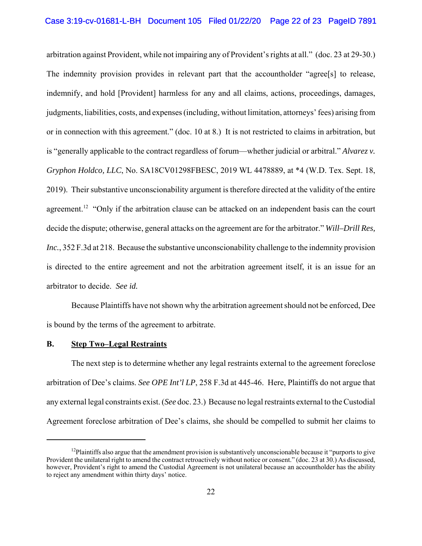arbitration against Provident, while not impairing any of Provident's rights at all." (doc. 23 at 29-30.) The indemnity provision provides in relevant part that the accountholder "agree[s] to release, indemnify, and hold [Provident] harmless for any and all claims, actions, proceedings, damages, judgments, liabilities, costs, and expenses (including, without limitation, attorneys' fees) arising from or in connection with this agreement." (doc. 10 at 8.) It is not restricted to claims in arbitration, but is "generally applicable to the contract regardless of forum—whether judicial or arbitral." *Alvarez v. Gryphon Holdco, LLC*, No. SA18CV01298FBESC, 2019 WL 4478889, at \*4 (W.D. Tex. Sept. 18, 2019). Their substantive unconscionability argument is therefore directed at the validity of the entire agreement.<sup>12</sup> "Only if the arbitration clause can be attacked on an independent basis can the court decide the dispute; otherwise, general attacks on the agreement are for the arbitrator." *Will–Drill Res, Inc.*, 352 F.3d at 218. Because the substantive unconscionability challenge to the indemnity provision is directed to the entire agreement and not the arbitration agreement itself, it is an issue for an arbitrator to decide. *See id.*

Because Plaintiffs have not shown why the arbitration agreement should not be enforced, Dee is bound by the terms of the agreement to arbitrate.

#### **B. Step Two–Legal Restraints**

The next step is to determine whether any legal restraints external to the agreement foreclose arbitration of Dee's claims. *See OPE Int'l LP*, 258 F.3d at 445-46. Here, Plaintiffs do not argue that any external legal constraints exist. (*See* doc. 23.) Because no legal restraints external to the Custodial Agreement foreclose arbitration of Dee's claims, she should be compelled to submit her claims to

 $12$ Plaintiffs also argue that the amendment provision is substantively unconscionable because it "purports to give Provident the unilateral right to amend the contract retroactively without notice or consent." (doc. 23 at 30.) As discussed, however, Provident's right to amend the Custodial Agreement is not unilateral because an accountholder has the ability to reject any amendment within thirty days' notice.